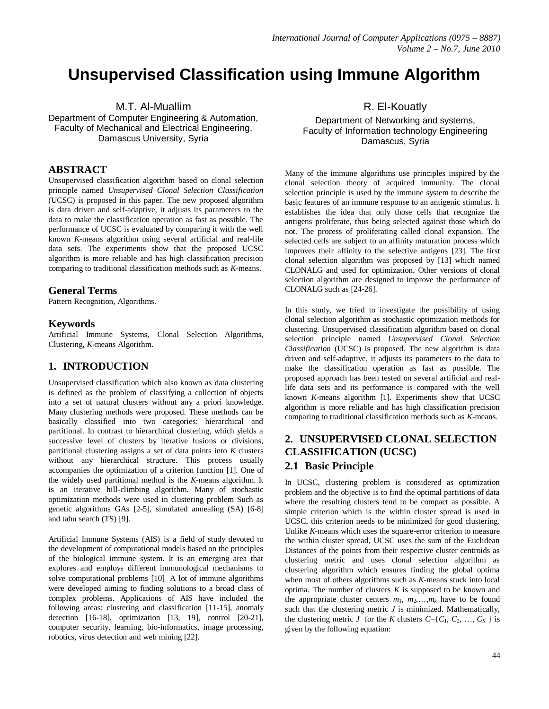# **Unsupervised Classification using Immune Algorithm**

M.T. Al-Muallim

Department of Computer Engineering & Automation, Faculty of Mechanical and Electrical Engineering, Damascus University, Syria

# **ABSTRACT**

Unsupervised classification algorithm based on clonal selection principle named *Unsupervised Clonal Selection Classification*  (UCSC) is proposed in this paper. The new proposed algorithm is data driven and self-adaptive, it adjusts its parameters to the data to make the classification operation as fast as possible. The performance of UCSC is evaluated by comparing it with the well known *K*-means algorithm using several artificial and real-life data sets. The experiments show that the proposed UCSC algorithm is more reliable and has high classification precision comparing to traditional classification methods such as *K*-means.

# **General Terms**

Pattern Recognition, Algorithms.

# **Keywords**

Artificial Immune Systems, Clonal Selection Algorithms, Clustering, *K*-means Algorithm.

# **1. INTRODUCTION**

Unsupervised classification which also known as data clustering is defined as the problem of classifying a collection of objects into a set of natural clusters without any a priori knowledge. Many clustering methods were proposed. These methods can be basically classified into two categories: hierarchical and partitional. In contrast to hierarchical clustering, which yields a successive level of clusters by iterative fusions or divisions, partitional clustering assigns a set of data points into *K* clusters without any hierarchical structure. This process usually accompanies the optimization of a criterion function [1]. One of the widely used partitional method is the *K*-means algorithm. It is an iterative hill-climbing algorithm. Many of stochastic optimization methods were used in clustering problem Such as genetic algorithms GAs [2-5], simulated annealing (SA) [6-8] and tabu search (TS) [9].

Artificial Immune Systems (AIS) is a field of study devoted to the development of computational models based on the principles of the biological immune system. It is an emerging area that explores and employs different immunological mechanisms to solve computational problems [10]. A lot of immune algorithms were developed aiming to finding solutions to a broad class of complex problems. Applications of AIS have included the following areas: clustering and classification [11-15], anomaly detection [16-18], optimization [13, 19], control [20-21], computer security, learning, bio-informatics, image processing, robotics, virus detection and web mining [22].

R. El-Kouatly

Department of Networking and systems, Faculty of Information technology Engineering Damascus, Syria

Many of the immune algorithms use principles inspired by the clonal selection theory of acquired immunity. The clonal selection principle is used by the immune system to describe the basic features of an immune response to an antigenic stimulus. It establishes the idea that only those cells that recognize the antigens proliferate, thus being selected against those which do not. The process of proliferating called clonal expansion. The selected cells are subject to an affinity maturation process which improves their affinity to the selective antigens [23]. The first clonal selection algorithm was proposed by [13] which named CLONALG and used for optimization. Other versions of clonal selection algorithm are designed to improve the performance of CLONALG such as [24-26].

In this study, we tried to investigate the possibility of using clonal selection algorithm as stochastic optimization methods for clustering. Unsupervised classification algorithm based on clonal selection principle named *Unsupervised Clonal Selection Classification* (UCSC) is proposed. The new algorithm is data driven and self-adaptive, it adjusts its parameters to the data to make the classification operation as fast as possible. The proposed approach has been tested on several artificial and reallife data sets and its performance is compared with the well known *K*-means algorithm [1]. Experiments show that UCSC algorithm is more reliable and has high classification precision comparing to traditional classification methods such as *K*-means.

# **2. UNSUPERVISED CLONAL SELECTION CLASSIFICATION (UCSC)**

## **2.1 Basic Principle**

In UCSC, clustering problem is considered as optimization problem and the objective is to find the optimal partitions of data where the resulting clusters tend to be compact as possible. A simple criterion which is the within cluster spread is used in UCSC, this criterion needs to be minimized for good clustering. Unlike *K*-means which uses the square-error criterion to measure the within cluster spread, UCSC uses the sum of the Euclidean Distances of the points from their respective cluster centroids as clustering metric and uses clonal selection algorithm as clustering algorithm which ensures finding the global optima when most of others algorithms such as *K*-means stuck into local optima. The number of clusters  $K$  is supposed to be known and the appropriate cluster centers  $m_1$ ,  $m_2$ , ...,  $m_k$  have to be found such that the clustering metric *J* is minimized. Mathematically, the clustering metric *J* for the *K* clusters  $C = \{C_1, C_2, ..., C_K\}$  is given by the following equation: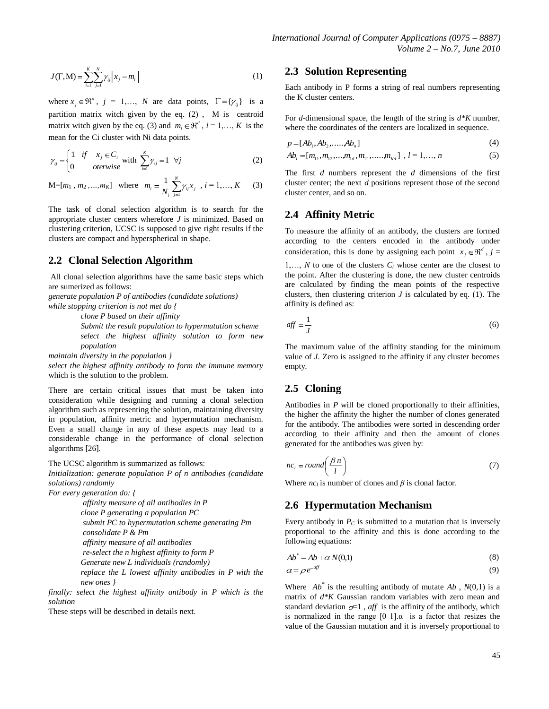$$
J(\Gamma, M) = \sum_{i=1}^{K} \sum_{j=1}^{N} \gamma_{ij} \|x_j - m_i\|
$$
 (1)

where  $x_j \in \mathbb{R}^d$ ,  $j = 1,..., N$  are data points,  $\Gamma = \{ \gamma_{ij} \}$  is a partition matrix witch given by the eq. (2) , M is centroid matrix witch given by the eq. (3) and  $m_i \in \mathbb{R}^d$ ,  $i = 1, ..., K$  is the mean for the Ci cluster with Ni data points.

$$
\gamma_{ij} = \begin{cases} 1 & \text{if } x_j \in C_i \\ 0 & \text{otherwise} \end{cases} \text{ with } \sum_{i=1}^K \gamma_{ij} = 1 \quad \forall j \tag{2}
$$

 $M=[m_1, m_2, ..., m_K]$  where  $m_i = \frac{1}{n_i} \sum_{i=1}^{N}$  $m_i = \frac{1}{N_i} \sum_{j=1}^{N_i} \gamma_{ij} x_j$  $\frac{1}{N} \sum_{i=1}^{N} \gamma_{i,i} x_{i}$ ,  $i = 1,..., K$  (3)

The task of clonal selection algorithm is to search for the appropriate cluster centers wherefore *J* is minimized. Based on clustering criterion, UCSC is supposed to give right results if the clusters are compact and hyperspherical in shape.

## **2.2 Clonal Selection Algorithm**

All clonal selection algorithms have the same basic steps which are sumerized as follows:

*generate population P of antibodies (candidate solutions) while stopping criterion is not met do {*

*clone P based on their affinity*

*Submit the result population to hypermutation scheme select the highest affinity solution to form new population*

*maintain diversity in the population }*

*select the highest affinity antibody to form the immune memory* which is the solution to the problem.

There are certain critical issues that must be taken into consideration while designing and running a clonal selection algorithm such as representing the solution, maintaining diversity in population, affinity metric and hypermutation mechanism. Even a small change in any of these aspects may lead to a considerable change in the performance of clonal selection algorithms [26].

The UCSC algorithm is summarized as follows:

*Initialization: generate population P of n antibodies (candidate solutions) randomly*

*For every generation do: {*

2.3 **Section Representing**<br>  $\frac{d^2y}{dx^2-1} = \frac{1}{4}x^2 - m_1$ . We so denote points in the scalar order points are presenting<br>  $\frac{d^2y}{dx^2-1} = 1$ , we so denote points  $x^2 + y^2 - 1$ , we do the denote exist. If  $y^2 + y^2 - 1$ , w *affinity measure of all antibodies in P clone P generating a population PC submit PC to hypermutation scheme generating Pm consolidate P & Pm affinity measure of all antibodies re-select the n highest affinity to form P Generate new L individuals (randomly) replace the L lowest affinity antibodies in P with the new ones }*

*finally: select the highest affinity antibody in P which is the solution* 

These steps will be described in details next.

#### **2.3 Solution Representing**

Each antibody in P forms a string of real numbers representing the K cluster centers.

For *d*-dimensional space, the length of the string is *d\*K* number, where the coordinates of the centers are localized in sequence.

$$
p = [Ab1, Ab2,....., Abn]
$$
\n
$$
(4)
$$

$$
Ab_l = [m_{11}, m_{12}, \dots, m_{1d}, m_{21}, \dots, m_{Kd}] \, , \, l = 1, \dots, n \tag{5}
$$

The first *d* numbers represent the *d* dimensions of the first cluster center; the next *d* positions represent those of the second cluster center, and so on.

## **2.4 Affinity Metric**

To measure the affinity of an antibody, the clusters are formed according to the centers encoded in the antibody under consideration, this is done by assigning each point  $x_j \in \mathbb{R}^d$ ,  $j =$ 

1,..., *N* to one of the clusters  $C_i$  whose center are the closest to the point. After the clustering is done, the new cluster centroids are calculated by finding the mean points of the respective clusters, then clustering criterion  $J$  is calculated by eq. (1). The affinity is defined as:

$$
aff = \frac{1}{J} \tag{6}
$$

The maximum value of the affinity standing for the minimum value of *J*. Zero is assigned to the affinity if any cluster becomes empty.

# **2.5 Cloning**

Antibodies in *P* will be cloned proportionally to their affinities, the higher the affinity the higher the number of clones generated for the antibody. The antibodies were sorted in descending order according to their affinity and then the amount of clones generated for the antibodies was given by:

$$
nc_i = round\left(\frac{\beta n}{l}\right) \tag{7}
$$

Where  $nc_l$  is number of clones and  $\beta$  is clonal factor.

#### **2.6 Hypermutation Mechanism**

Every antibody in  $P_C$  is submitted to a mutation that is inversely proportional to the affinity and this is done according to the following equations:

$$
Ab^* = Ab + \alpha N(0,1) \tag{8}
$$

$$
\alpha = \rho \, e^{-a f} \tag{9}
$$

Where  $Ab^*$  is the resulting antibody of mutate  $Ab$ ,  $N(0,1)$  is a matrix of *d\*K* Gaussian random variables with zero mean and standard deviation  $\sigma=1$ , *aff* is the affinity of the antibody, which is normalized in the range  $[0 \ 1] \alpha$  is a factor that resizes the value of the Gaussian mutation and it is inversely proportional to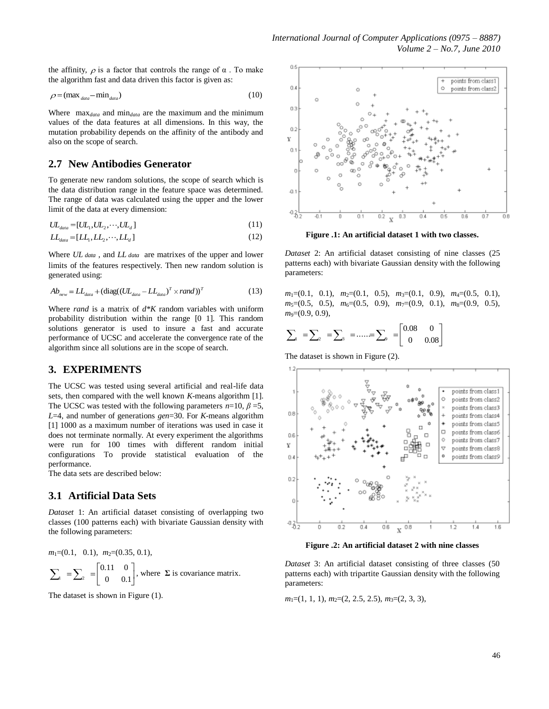the affinity,  $\rho$  is a factor that controls the range of  $\alpha$ . To make the algorithm fast and data driven this factor is given as:

$$
\rho = (\max_{data} - \min_{data})
$$
\n(10)

Where max*data* and min*data* are the maximum and the minimum values of the data features at all dimensions. In this way, the mutation probability depends on the affinity of the antibody and also on the scope of search.

## **2.7 New Antibodies Generator**

To generate new random solutions, the scope of search which is the data distribution range in the feature space was determined. The range of data was calculated using the upper and the lower limit of the data at every dimension:

$$
UL_{data} = [UL_1, UL_2, \cdots, UL_d]
$$
\n
$$
(11)
$$

$$
LL_{data} = [LL_1, LL_2, \cdots, LL_d]
$$
\n<sup>(12)</sup>

Where UL data, and LL data are matrixes of the upper and lower limits of the features respectively. Then new random solution is generated using:

$$
Ab_{new} = LL_{data} + (\text{diag}((UL_{data} - LL_{data})^T \times rand))^T
$$
 (13)

Where *rand* is a matrix of *d\*K* random variables with uniform probability distribution within the range [0 1]. This random solutions generator is used to insure a fast and accurate performance of UCSC and accelerate the convergence rate of the algorithm since all solutions are in the scope of search.

# **3. EXPERIMENTS**

The UCSC was tested using several artificial and real-life data sets, then compared with the well known *K*-means algorithm [1]. The UCSC was tested with the following parameters  $n=10$ ,  $\beta=5$ , *L*=4, and number of generations *gen*=30. For *K*-means algorithm [1] 1000 as a maximum number of iterations was used in case it does not terminate normally. At every experiment the algorithms were run for 100 times with different random initial configurations To provide statistical evaluation of the performance.

The data sets are described below:

#### **3.1 Artificial Data Sets**

*Dataset* 1: An artificial dataset consisting of overlapping two classes (100 patterns each) with bivariate Gaussian density with the following parameters:

$$
m_1=(0.1, 0.1), m_2=(0.35, 0.1),
$$

$$
\sum_{i=1}^{\infty} \sum_{i=1}^{\infty} = \begin{bmatrix} 0.11 & 0 \\ 0 & 0.1 \end{bmatrix}
$$
, where  $\sum$  is covariance matrix.

The dataset is shown in Figure (1).

*m*1=(0.1, 0.1), *m*2=(0.35, 0.1),



**Figure .1: An artificial dataset 1 with two classes.**

*Dataset* 2: An artificial dataset consisting of nine classes (25 patterns each) with bivariate Gaussian density with the following parameters:

*m*<sub>1</sub>=(0.1, 0.1), *m*<sub>2</sub>=(0.1, 0.5), *m*<sub>3</sub>=(0.1, 0.9), *m*<sub>4</sub>=(0.5, 0.1), *m*<sub>5</sub>=(0.5, 0.5), *m*<sub>6</sub>=(0.5, 0.9), *m*<sub>7</sub>=(0.9, 0.1), *m*<sub>8</sub>=(0.9, 0.5), *m*<sub>9</sub> $=(0.9, 0.9)$ ,

$$
\sum_{a} = \sum_{a} = \sum_{a} = \dots = \sum_{a} = \begin{bmatrix} 0.08 & 0 \\ 0 & 0.08 \end{bmatrix}
$$

The dataset is shown in Figure (2).



**Figure .2: An artificial dataset 2 with nine classes**

*Dataset* 3: An artificial dataset consisting of three classes (50 patterns each) with tripartite Gaussian density with the following parameters:

*m*<sub>1</sub>=(1, 1, 1), *m*<sub>2</sub>=(2, 2.5, 2.5), *m*<sub>3</sub>=(2, 3, 3),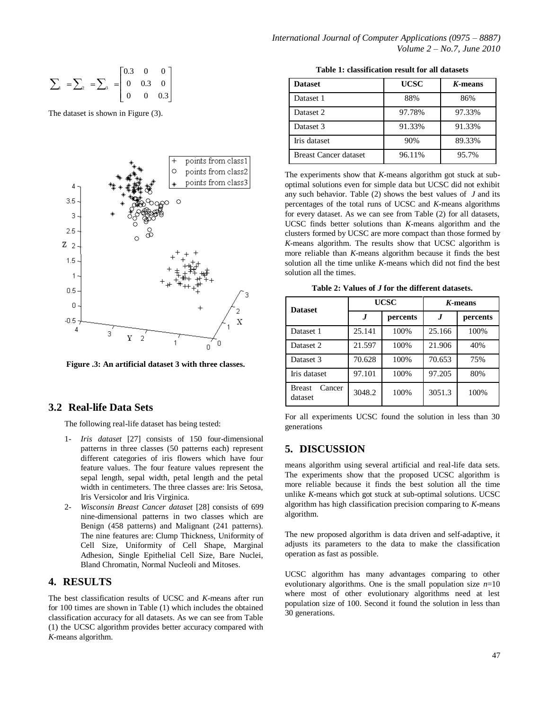$$
\sum_{a} = \sum_{a} = \sum_{a} = \begin{bmatrix} 0.3 & 0 & 0 \\ 0 & 0.3 & 0 \\ 0 & 0 & 0.3 \end{bmatrix}
$$

The dataset is shown in Figure (3).



**Figure .3: An artificial dataset 3 with three classes.**

#### **3.2 Real-life Data Sets**

The following real-life dataset has being tested:

- 1- *Iris dataset* [27] consists of 150 four-dimensional patterns in three classes (50 patterns each) represent different categories of iris flowers which have four feature values. The four feature values represent the sepal length, sepal width, petal length and the petal width in centimeters. The three classes are: Iris Setosa, Iris Versicolor and Iris Virginica.
- 2- *Wisconsin Breast Cancer dataset* [28] consists of 699 nine-dimensional patterns in two classes which are Benign (458 patterns) and Malignant (241 patterns). The nine features are: Clump Thickness, Uniformity of Cell Size, Uniformity of Cell Shape, Marginal Adhesion, Single Epithelial Cell Size, Bare Nuclei, Bland Chromatin, Normal Nucleoli and Mitoses.

# **4. RESULTS**

The best classification results of UCSC and *K*-means after run for 100 times are shown in Table (1) which includes the obtained classification accuracy for all datasets. As we can see from Table (1) the UCSC algorithm provides better accuracy compared with *K*-means algorithm.

**Table 1: classification result for all datasets**

| <b>Dataset</b>               | <b>UCSC</b> | $K$ -means |
|------------------------------|-------------|------------|
| Dataset 1                    | 88%         | 86%        |
| Dataset 2                    | 97.78%      | 97.33%     |
| Dataset 3                    | 91.33%      | 91.33%     |
| Iris dataset                 | 90%         | 89.33%     |
| <b>Breast Cancer dataset</b> | 96.11%      | 95.7%      |

The experiments show that *K*-means algorithm got stuck at suboptimal solutions even for simple data but UCSC did not exhibit any such behavior. Table (2) shows the best values of *J* and its percentages of the total runs of UCSC and *K*-means algorithms for every dataset. As we can see from Table (2) for all datasets, UCSC finds better solutions than *K*-means algorithm and the clusters formed by UCSC are more compact than those formed by *K*-means algorithm. The results show that UCSC algorithm is more reliable than *K*-means algorithm because it finds the best solution all the time unlike *K*-means which did not find the best solution all the times.

**Table 2: Values of** *J* **for the different datasets.**

| <b>Dataset</b>                     | UCSC   |          | $K$ -means |          |
|------------------------------------|--------|----------|------------|----------|
|                                    |        | percents | .J         | percents |
| Dataset 1                          | 25.141 | 100%     | 25.166     | 100%     |
| Dataset 2                          | 21.597 | 100%     | 21.906     | 40%      |
| Dataset 3                          | 70.628 | 100%     | 70.653     | 75%      |
| Iris dataset                       | 97.101 | 100%     | 97.205     | 80%      |
| <b>Breast</b><br>Cancer<br>dataset | 3048.2 | 100%     | 3051.3     | 100%     |

For all experiments UCSC found the solution in less than 30 generations

## **5. DISCUSSION**

means algorithm using several artificial and real-life data sets. The experiments show that the proposed UCSC algorithm is more reliable because it finds the best solution all the time unlike *K*-means which got stuck at sub-optimal solutions. UCSC algorithm has high classification precision comparing to *K*-means algorithm.

The new proposed algorithm is data driven and self-adaptive, it adjusts its parameters to the data to make the classification operation as fast as possible.

UCSC algorithm has many advantages comparing to other evolutionary algorithms. One is the small population size *n*=10 where most of other evolutionary algorithms need at lest population size of 100. Second it found the solution in less than 30 generations.